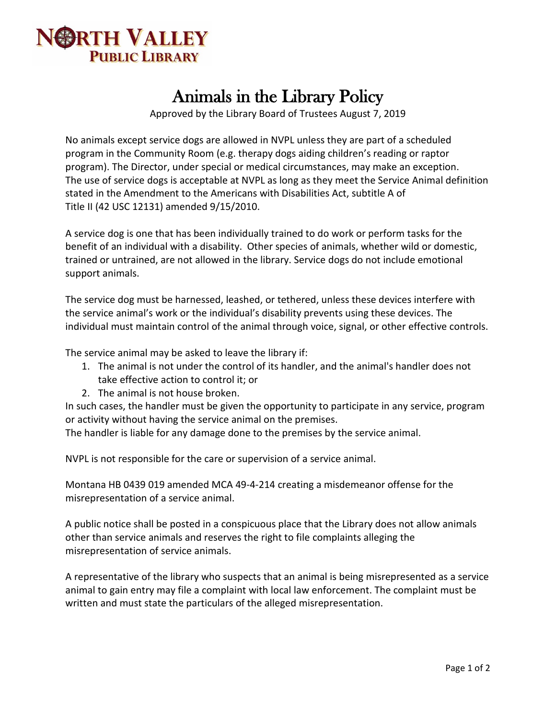

## Animals in the Library Policy

Approved by the Library Board of Trustees August 7, 2019

No animals except service dogs are allowed in NVPL unless they are part of a scheduled program in the Community Room (e.g. therapy dogs aiding children's reading or raptor program). The Director, under special or medical circumstances, may make an exception. The use of service dogs is acceptable at NVPL as long as they meet the Service Animal definition stated in the Amendment to the Americans with Disabilities Act, subtitle A of Title II (42 USC 12131) amended 9/15/2010.

A service dog is one that has been individually trained to do work or perform tasks for the benefit of an individual with a disability. Other species of animals, whether wild or domestic, trained or untrained, are not allowed in the library. Service dogs do not include emotional support animals.

The service dog must be harnessed, leashed, or tethered, unless these devices interfere with the service animal's work or the individual's disability prevents using these devices. The individual must maintain control of the animal through voice, signal, or other effective controls.

The service animal may be asked to leave the library if:

- 1. The animal is not under the control of its handler, and the animal's handler does not take effective action to control it; or
- 2. The animal is not house broken.

In such cases, the handler must be given the opportunity to participate in any service, program or activity without having the service animal on the premises.

The handler is liable for any damage done to the premises by the service animal.

NVPL is not responsible for the care or supervision of a service animal.

Montana HB 0439 019 amended MCA 49-4-214 creating a misdemeanor offense for the misrepresentation of a service animal.

A public notice shall be posted in a conspicuous place that the Library does not allow animals other than service animals and reserves the right to file complaints alleging the misrepresentation of service animals.

A representative of the library who suspects that an animal is being misrepresented as a service animal to gain entry may file a complaint with local law enforcement. The complaint must be written and must state the particulars of the alleged misrepresentation.